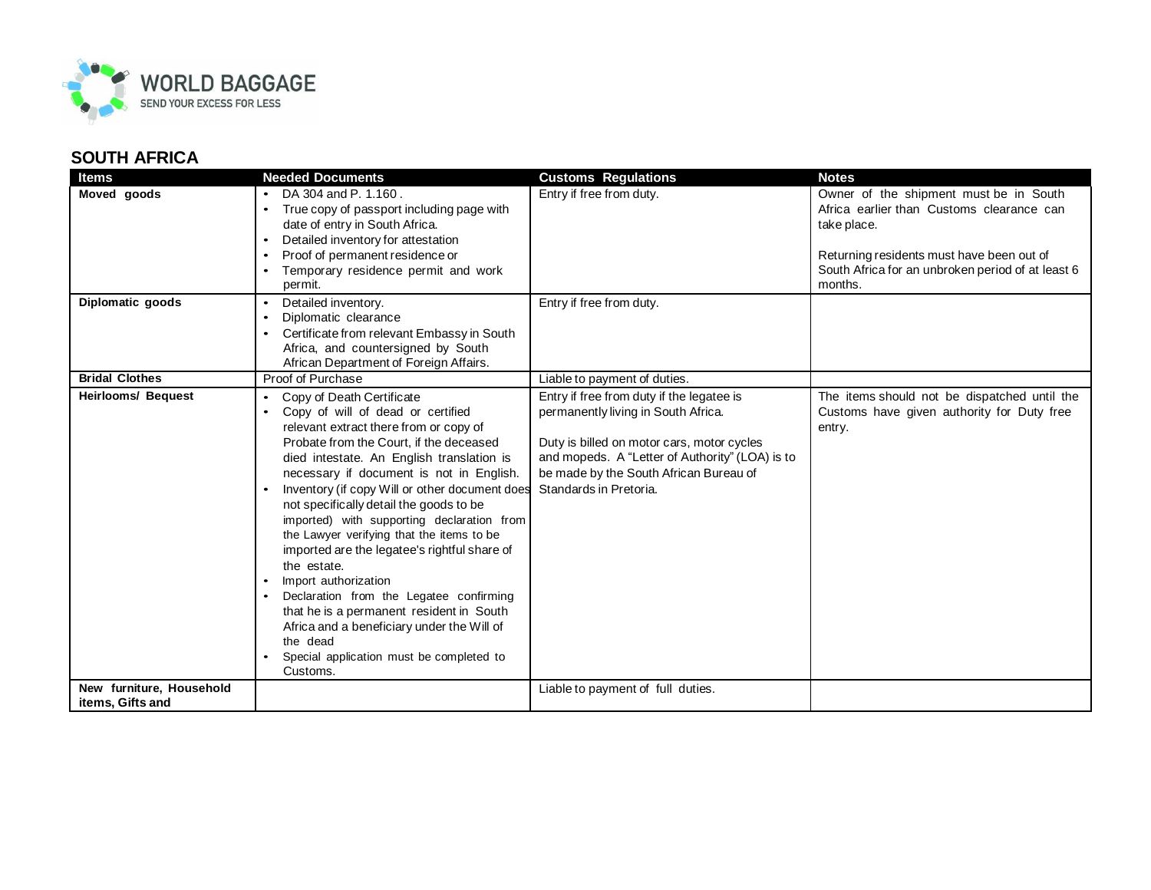

## **SOUTH AFRICA**

| <b>Items</b>                                 | <b>Needed Documents</b>                                                                                                                                                                                                                                                                                                                                                                                                                                                                                                                                                                                                                                                                                                              | <b>Customs Regulations</b>                                                                                                                                                                                                                            | <b>Notes</b>                                                                                                                                                                                                    |
|----------------------------------------------|--------------------------------------------------------------------------------------------------------------------------------------------------------------------------------------------------------------------------------------------------------------------------------------------------------------------------------------------------------------------------------------------------------------------------------------------------------------------------------------------------------------------------------------------------------------------------------------------------------------------------------------------------------------------------------------------------------------------------------------|-------------------------------------------------------------------------------------------------------------------------------------------------------------------------------------------------------------------------------------------------------|-----------------------------------------------------------------------------------------------------------------------------------------------------------------------------------------------------------------|
| Moved goods                                  | DA 304 and P. 1.160.<br>True copy of passport including page with<br>date of entry in South Africa.<br>Detailed inventory for attestation<br>Proof of permanent residence or<br>Temporary residence permit and work<br>permit.                                                                                                                                                                                                                                                                                                                                                                                                                                                                                                       | Entry if free from duty.                                                                                                                                                                                                                              | Owner of the shipment must be in South<br>Africa earlier than Customs clearance can<br>take place.<br>Returning residents must have been out of<br>South Africa for an unbroken period of at least 6<br>months. |
| Diplomatic goods                             | Detailed inventory.<br>$\bullet$<br>Diplomatic clearance<br>$\bullet$<br>Certificate from relevant Embassy in South<br>$\bullet$<br>Africa, and countersigned by South<br>African Department of Foreign Affairs.                                                                                                                                                                                                                                                                                                                                                                                                                                                                                                                     | Entry if free from duty.                                                                                                                                                                                                                              |                                                                                                                                                                                                                 |
| <b>Bridal Clothes</b>                        | Proof of Purchase                                                                                                                                                                                                                                                                                                                                                                                                                                                                                                                                                                                                                                                                                                                    | Liable to payment of duties.                                                                                                                                                                                                                          |                                                                                                                                                                                                                 |
| <b>Heirlooms/ Bequest</b>                    | Copy of Death Certificate<br>Copy of will of dead or certified<br>relevant extract there from or copy of<br>Probate from the Court, if the deceased<br>died intestate. An English translation is<br>necessary if document is not in English.<br>Inventory (if copy Will or other document does<br>not specifically detail the goods to be<br>imported) with supporting declaration from<br>the Lawyer verifying that the items to be<br>imported are the legatee's rightful share of<br>the estate.<br>Import authorization<br>Declaration from the Legatee confirming<br>that he is a permanent resident in South<br>Africa and a beneficiary under the Will of<br>the dead<br>Special application must be completed to<br>Customs. | Entry if free from duty if the legatee is<br>permanently living in South Africa.<br>Duty is billed on motor cars, motor cycles<br>and mopeds. A "Letter of Authority" (LOA) is to<br>be made by the South African Bureau of<br>Standards in Pretoria. | The items should not be dispatched until the<br>Customs have given authority for Duty free<br>entry.                                                                                                            |
| New furniture, Household<br>items, Gifts and |                                                                                                                                                                                                                                                                                                                                                                                                                                                                                                                                                                                                                                                                                                                                      | Liable to payment of full duties.                                                                                                                                                                                                                     |                                                                                                                                                                                                                 |
|                                              |                                                                                                                                                                                                                                                                                                                                                                                                                                                                                                                                                                                                                                                                                                                                      |                                                                                                                                                                                                                                                       |                                                                                                                                                                                                                 |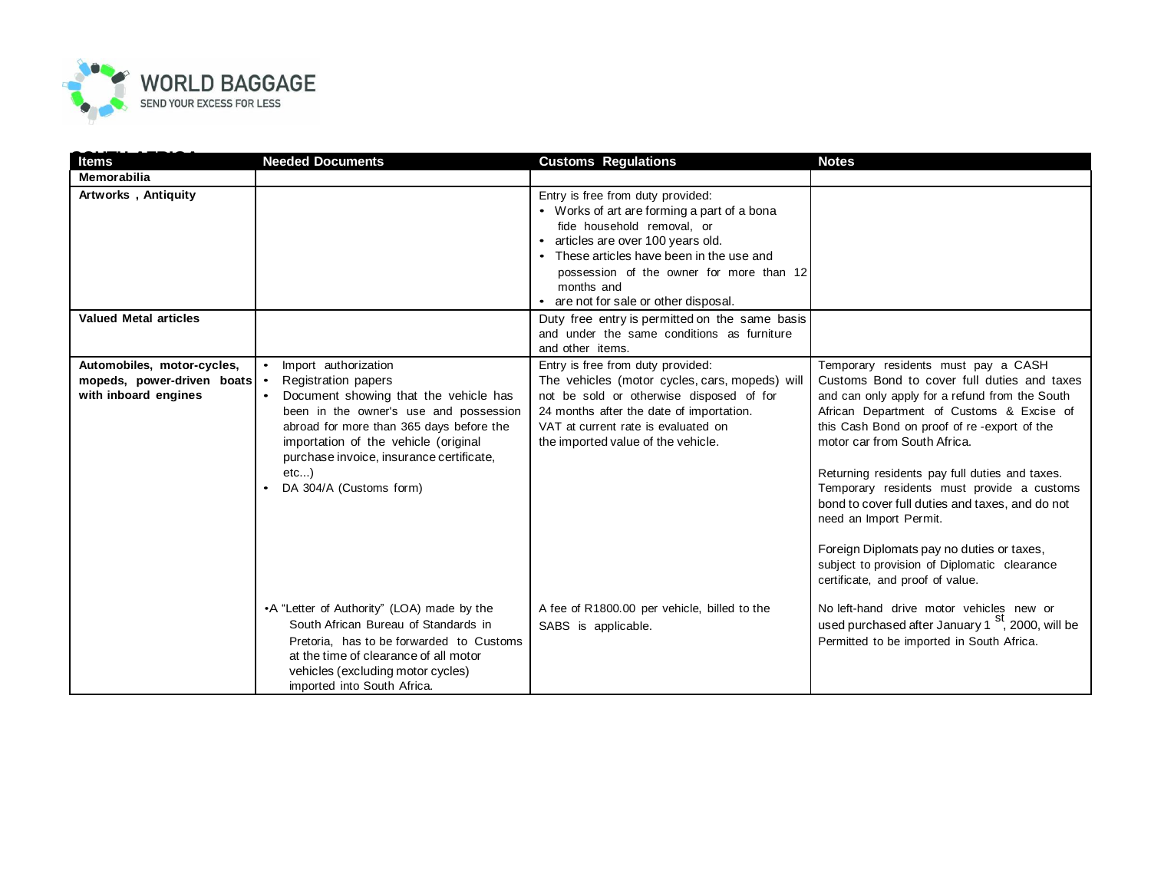

| <b>Items</b>                                                                       | <b>Needed Documents</b>                                                                                                                                                                                                                                                                                           | <b>Customs Regulations</b>                                                                                                                                                                                                                                                                         | <b>Notes</b>                                                                                                                                                                                                                                                                                                                                                                                                                                                                                                                                                                   |
|------------------------------------------------------------------------------------|-------------------------------------------------------------------------------------------------------------------------------------------------------------------------------------------------------------------------------------------------------------------------------------------------------------------|----------------------------------------------------------------------------------------------------------------------------------------------------------------------------------------------------------------------------------------------------------------------------------------------------|--------------------------------------------------------------------------------------------------------------------------------------------------------------------------------------------------------------------------------------------------------------------------------------------------------------------------------------------------------------------------------------------------------------------------------------------------------------------------------------------------------------------------------------------------------------------------------|
| Memorabilia                                                                        |                                                                                                                                                                                                                                                                                                                   |                                                                                                                                                                                                                                                                                                    |                                                                                                                                                                                                                                                                                                                                                                                                                                                                                                                                                                                |
| Artworks, Antiquity                                                                |                                                                                                                                                                                                                                                                                                                   | Entry is free from duty provided:<br>• Works of art are forming a part of a bona<br>fide household removal, or<br>• articles are over 100 years old.<br>• These articles have been in the use and<br>possession of the owner for more than 12<br>months and<br>are not for sale or other disposal. |                                                                                                                                                                                                                                                                                                                                                                                                                                                                                                                                                                                |
| <b>Valued Metal articles</b>                                                       |                                                                                                                                                                                                                                                                                                                   | Duty free entry is permitted on the same basis<br>and under the same conditions as furniture<br>and other items.                                                                                                                                                                                   |                                                                                                                                                                                                                                                                                                                                                                                                                                                                                                                                                                                |
| Automobiles, motor-cycles,<br>mopeds, power-driven boats .<br>with inboard engines | Import authorization<br>$\bullet$<br>Registration papers<br>Document showing that the vehicle has<br>been in the owner's use and possession<br>abroad for more than 365 days before the<br>importation of the vehicle (original<br>purchase invoice, insurance certificate,<br>$etc$ )<br>DA 304/A (Customs form) | Entry is free from duty provided:<br>The vehicles (motor cycles, cars, mopeds) will<br>not be sold or otherwise disposed of for<br>24 months after the date of importation.<br>VAT at current rate is evaluated on<br>the imported value of the vehicle.                                           | Temporary residents must pay a CASH<br>Customs Bond to cover full duties and taxes<br>and can only apply for a refund from the South<br>African Department of Customs & Excise of<br>this Cash Bond on proof of re-export of the<br>motor car from South Africa.<br>Returning residents pay full duties and taxes.<br>Temporary residents must provide a customs<br>bond to cover full duties and taxes, and do not<br>need an Import Permit.<br>Foreign Diplomats pay no duties or taxes,<br>subject to provision of Diplomatic clearance<br>certificate, and proof of value. |
|                                                                                    | •A "Letter of Authority" (LOA) made by the<br>South African Bureau of Standards in<br>Pretoria, has to be forwarded to Customs<br>at the time of clearance of all motor<br>vehicles (excluding motor cycles)<br>imported into South Africa.                                                                       | A fee of R1800.00 per vehicle, billed to the<br>SABS is applicable.                                                                                                                                                                                                                                | No left-hand drive motor vehicles new or<br>used purchased after January 1 <sup>st</sup> , 2000, will be<br>Permitted to be imported in South Africa.                                                                                                                                                                                                                                                                                                                                                                                                                          |